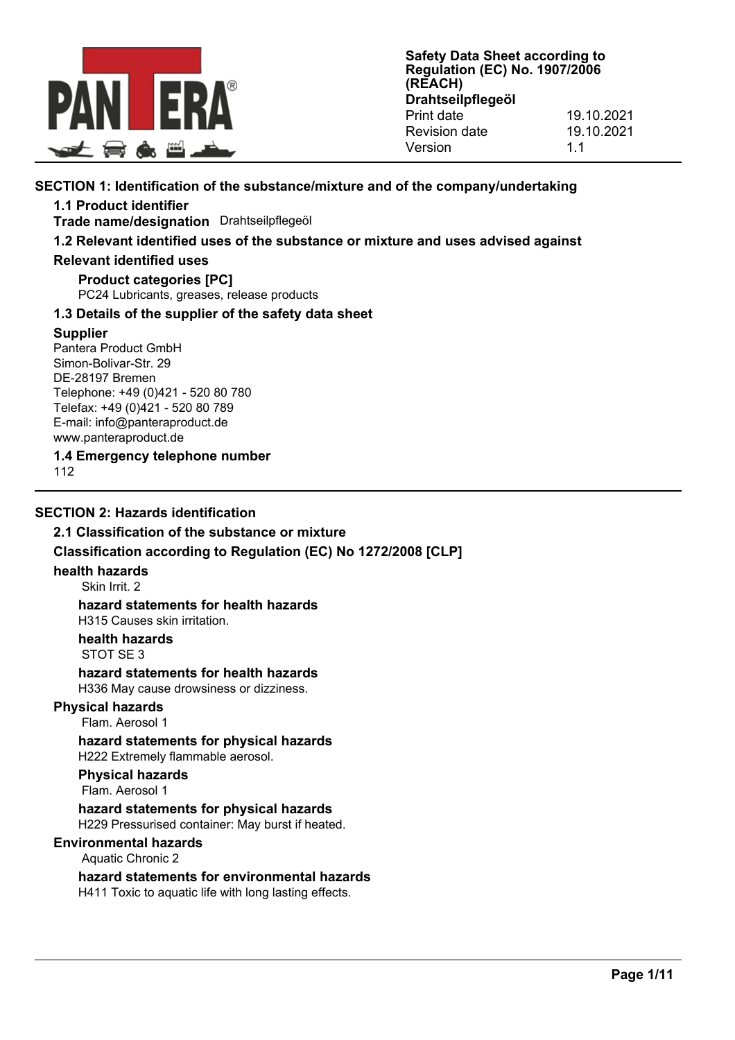

# **SECTION 1: Identification of the substance/mixture and of the company/undertaking**

**1.1 Product identifier**

**Trade name/designation** Drahtseilpflegeöl

# **1.2 Relevant identified uses of the substance or mixture and uses advised against**

#### **Relevant identified uses**

**Product categories [PC]** PC24 Lubricants, greases, release products

# **1.3 Details of the supplier of the safety data sheet**

# **Supplier**

Pantera Product GmbH Simon-Bolivar-Str. 29 DE-28197 Bremen Telephone: +49 (0)421 - 520 80 780 Telefax: +49 (0)421 - 520 80 789 E-mail: info@panteraproduct.de www.panteraproduct.de

**1.4 Emergency telephone number**

112

# **SECTION 2: Hazards identification**

# **2.1 Classification of the substance or mixture**

# **Classification according to Regulation (EC) No 1272/2008 [CLP]**

#### **health hazards**

Skin Irrit. 2

# **hazard statements for health hazards**

H315 Causes skin irritation.

**health hazards** STOT SE 3

#### **hazard statements for health hazards** H336 May cause drowsiness or dizziness.

#### **Physical hazards**

Flam. Aerosol 1

# **hazard statements for physical hazards**

H222 Extremely flammable aerosol.

# **Physical hazards**

Flam. Aerosol 1

**hazard statements for physical hazards** H229 Pressurised container: May burst if heated.

# **Environmental hazards**

#### Aquatic Chronic 2

**hazard statements for environmental hazards** H411 Toxic to aquatic life with long lasting effects.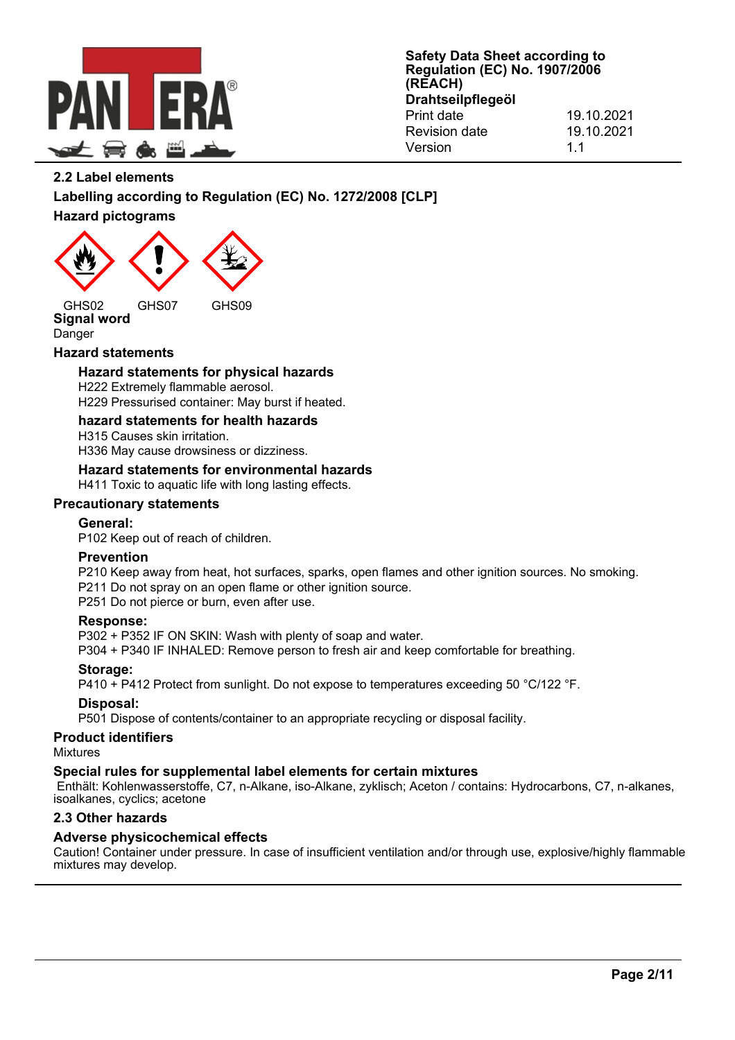

# **2.2 Label elements**

# **Labelling according to Regulation (EC) No. 1272/2008 [CLP] Hazard pictograms**



**Signal word**

# Danger

# **Hazard statements**

# **Hazard statements for physical hazards**

H222 Extremely flammable aerosol. H229 Pressurised container: May burst if heated.

# **hazard statements for health hazards**

H315 Causes skin irritation. H336 May cause drowsiness or dizziness.

#### **Hazard statements for environmental hazards**

H411 Toxic to aquatic life with long lasting effects.

#### **Precautionary statements**

## **General:**

P102 Keep out of reach of children.

#### **Prevention**

P210 Keep away from heat, hot surfaces, sparks, open flames and other ignition sources. No smoking. P211 Do not spray on an open flame or other ignition source.

P251 Do not pierce or burn, even after use.

# **Response:**

P302 + P352 IF ON SKIN: Wash with plenty of soap and water.

P304 + P340 IF INHALED: Remove person to fresh air and keep comfortable for breathing.

# **Storage:**

P410 + P412 Protect from sunlight. Do not expose to temperatures exceeding 50 °C/122 °F.

#### **Disposal:**

P501 Dispose of contents/container to an appropriate recycling or disposal facility.

#### **Product identifiers**

Mixtures

#### **Special rules for supplemental label elements for certain mixtures**

Enthält: Kohlenwasserstoffe, C7, n-Alkane, iso-Alkane, zyklisch; Aceton / contains: Hydrocarbons, C7, n-alkanes, isoalkanes, cyclics; acetone

#### **2.3 Other hazards**

#### **Adverse physicochemical effects**

Caution! Container under pressure. In case of insufficient ventilation and/or through use, explosive/highly flammable mixtures may develop.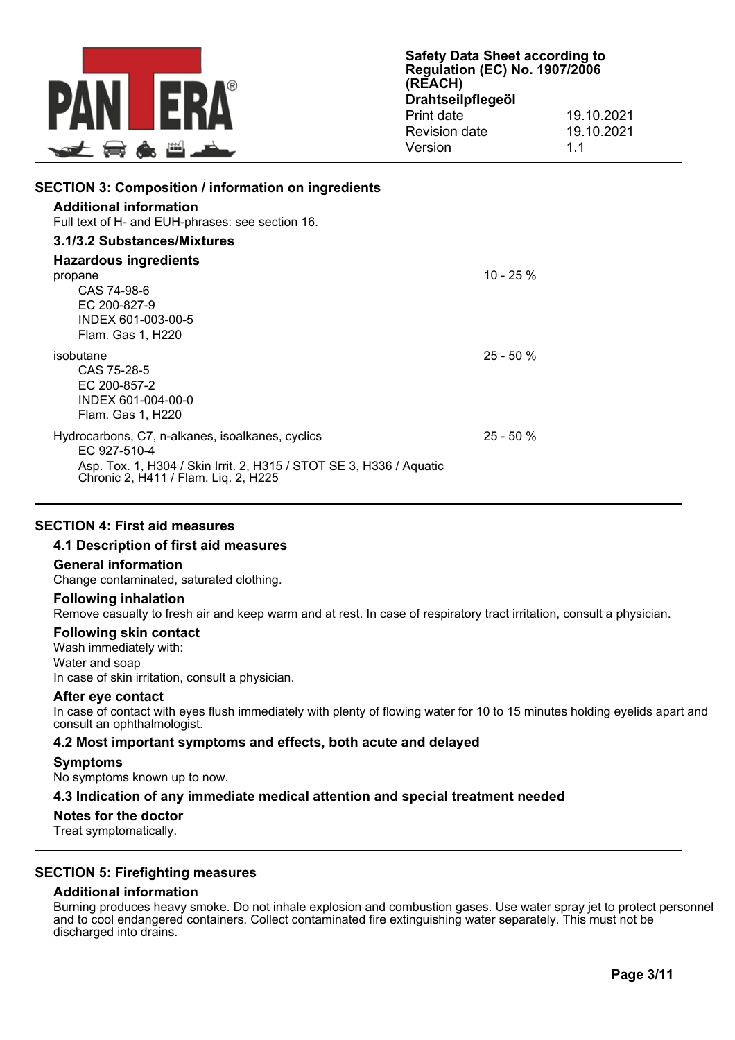

| <b>SECTION 3: Composition / information on ingredients</b><br><b>Additional information</b><br>Full text of H- and EUH-phrases: see section 16.                                 |            |
|---------------------------------------------------------------------------------------------------------------------------------------------------------------------------------|------------|
| 3.1/3.2 Substances/Mixtures                                                                                                                                                     |            |
| Hazardous ingredients<br>propane<br>CAS 74-98-6<br>EC 200-827-9<br>INDEX 601-003-00-5<br>Flam. Gas 1, H220                                                                      | 10 - 25 %  |
| isobutane<br>CAS 75-28-5<br>EC 200-857-2<br>INDEX 601-004-00-0<br>Flam. Gas 1, H220                                                                                             | $25 - 50%$ |
| Hydrocarbons, C7, n-alkanes, isoalkanes, cyclics<br>EC 927-510-4<br>Asp. Tox. 1, H304 / Skin Irrit. 2, H315 / STOT SE 3, H336 / Aquatic<br>Chronic 2, H411 / Flam. Liq. 2, H225 | $25 - 50%$ |

#### **SECTION 4: First aid measures**

### **4.1 Description of first aid measures**

#### **General information**

Change contaminated, saturated clothing.

#### **Following inhalation**

Remove casualty to fresh air and keep warm and at rest. In case of respiratory tract irritation, consult a physician.

#### **Following skin contact**

Wash immediately with: Water and soap In case of skin irritation, consult a physician.

#### **After eye contact**

In case of contact with eyes flush immediately with plenty of flowing water for 10 to 15 minutes holding eyelids apart and consult an ophthalmologist.

#### **4.2 Most important symptoms and effects, both acute and delayed**

# **Symptoms**

No symptoms known up to now.

# **4.3 Indication of any immediate medical attention and special treatment needed**

# **Notes for the doctor**

Treat symptomatically.

# **SECTION 5: Firefighting measures**

# **Additional information**

Burning produces heavy smoke. Do not inhale explosion and combustion gases. Use water spray jet to protect personnel and to cool endangered containers. Collect contaminated fire extinguishing water separately. This must not be discharged into drains.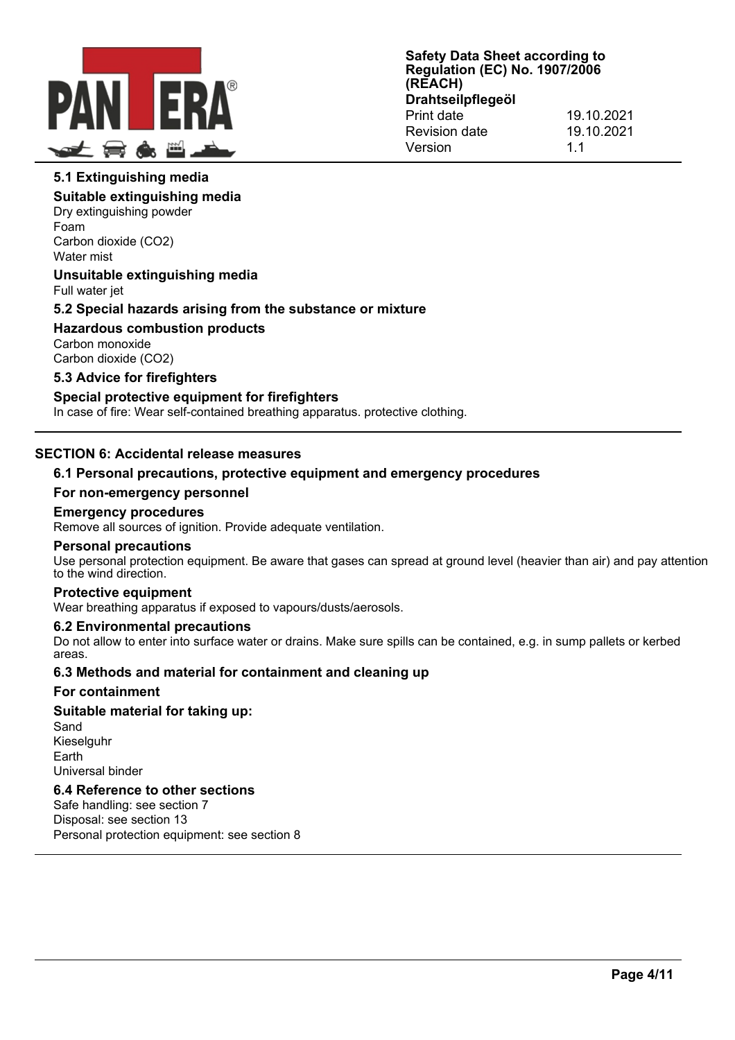

# **5.1 Extinguishing media**

#### **Suitable extinguishing media**

Dry extinguishing powder Foam Carbon dioxide (CO2) Water mist

# **Unsuitable extinguishing media**

Full water jet

# **5.2 Special hazards arising from the substance or mixture**

**Hazardous combustion products** Carbon monoxide Carbon dioxide (CO2)

# **5.3 Advice for firefighters**

#### **Special protective equipment for firefighters**

In case of fire: Wear self-contained breathing apparatus. protective clothing.

# **SECTION 6: Accidental release measures**

# **6.1 Personal precautions, protective equipment and emergency procedures**

#### **For non-emergency personnel**

#### **Emergency procedures**

Remove all sources of ignition. Provide adequate ventilation.

#### **Personal precautions**

Use personal protection equipment. Be aware that gases can spread at ground level (heavier than air) and pay attention to the wind direction.

#### **Protective equipment**

Wear breathing apparatus if exposed to vapours/dusts/aerosols.

#### **6.2 Environmental precautions**

Do not allow to enter into surface water or drains. Make sure spills can be contained, e.g. in sump pallets or kerbed areas.

#### **6.3 Methods and material for containment and cleaning up**

#### **For containment**

#### **Suitable material for taking up:**

Sand Kieselguhr Earth Universal binder

# **6.4 Reference to other sections**

Safe handling: see section 7 Disposal: see section 13 Personal protection equipment: see section 8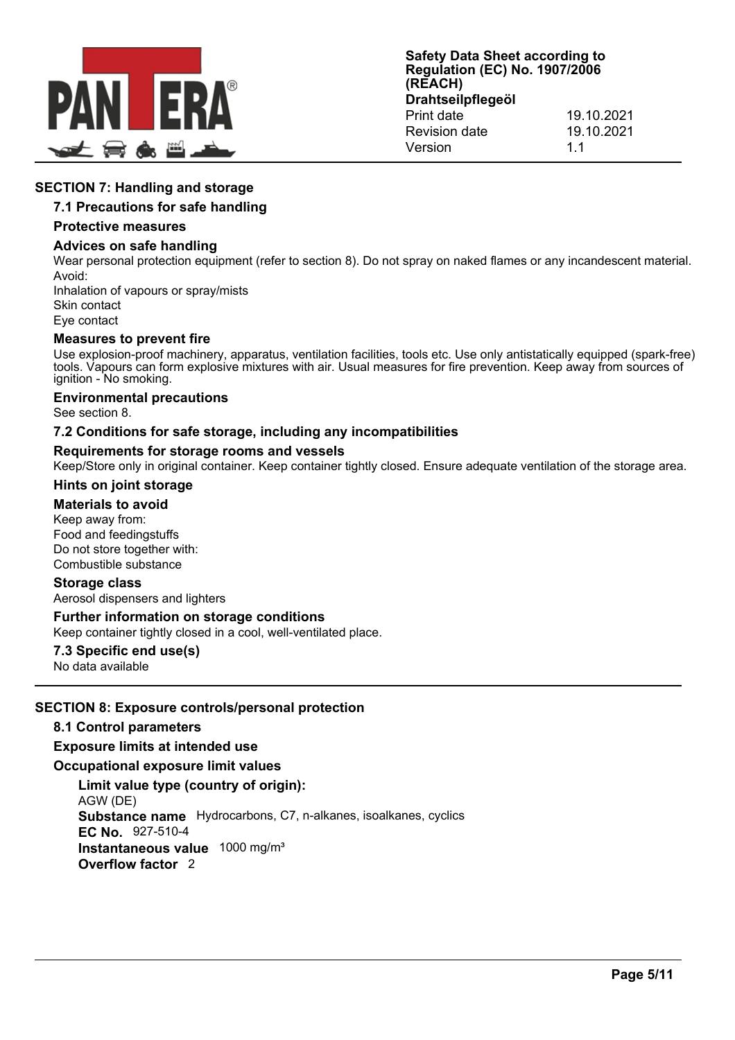

# **SECTION 7: Handling and storage**

# **7.1 Precautions for safe handling**

#### **Protective measures**

#### **Advices on safe handling**

Wear personal protection equipment (refer to section 8). Do not spray on naked flames or any incandescent material. Avoid:

Inhalation of vapours or spray/mists Skin contact Eye contact

#### **Measures to prevent fire**

Use explosion-proof machinery, apparatus, ventilation facilities, tools etc. Use only antistatically equipped (spark-free) tools. Vapours can form explosive mixtures with air. Usual measures for fire prevention. Keep away from sources of ignition - No smoking.

#### **Environmental precautions**

See section 8.

#### **7.2 Conditions for safe storage, including any incompatibilities**

#### **Requirements for storage rooms and vessels**

Keep/Store only in original container. Keep container tightly closed. Ensure adequate ventilation of the storage area.

#### **Hints on joint storage**

#### **Materials to avoid**

Keep away from: Food and feedingstuffs Do not store together with: Combustible substance

#### **Storage class**

Aerosol dispensers and lighters

#### **Further information on storage conditions**

Keep container tightly closed in a cool, well-ventilated place.

# **7.3 Specific end use(s)**

No data available

# **SECTION 8: Exposure controls/personal protection**

#### **8.1 Control parameters**

#### **Exposure limits at intended use**

#### **Occupational exposure limit values**

**Limit value type (country of origin):** AGW (DE) **Substance name** Hydrocarbons, C7, n-alkanes, isoalkanes, cyclics **EC No.** 927-510-4 **Instantaneous value** 1000 mg/m³ **Overflow factor** 2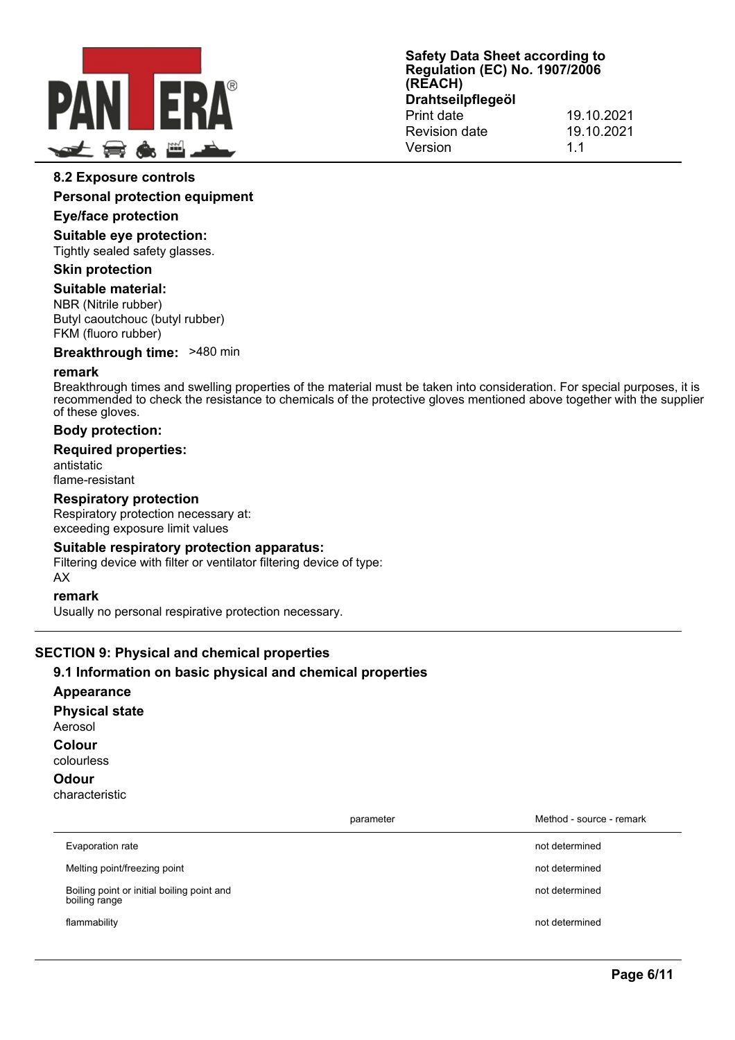

#### **8.2 Exposure controls**

**Personal protection equipment**

#### **Eye/face protection**

**Suitable eye protection:**

Tightly sealed safety glasses.

#### **Skin protection**

**Suitable material:**

NBR (Nitrile rubber) Butyl caoutchouc (butyl rubber) FKM (fluoro rubber)

**Breakthrough time:** >480 min

#### **remark**

Breakthrough times and swelling properties of the material must be taken into consideration. For special purposes, it is recommended to check the resistance to chemicals of the protective gloves mentioned above together with the supplier of these gloves.

#### **Body protection:**

#### **Required properties:**

antistatic flame-resistant

# **Respiratory protection**

Respiratory protection necessary at: exceeding exposure limit values

#### **Suitable respiratory protection apparatus:**

Filtering device with filter or ventilator filtering device of type: AX

#### **remark**

Usually no personal respirative protection necessary.

# **SECTION 9: Physical and chemical properties**

#### **9.1 Information on basic physical and chemical properties**

**Appearance**

**Physical state** Aerosol

**Colour**

colourless

# **Odour**

characteristic

|                                                             | parameter | Method - source - remark |
|-------------------------------------------------------------|-----------|--------------------------|
| Evaporation rate                                            |           | not determined           |
| Melting point/freezing point                                |           | not determined           |
| Boiling point or initial boiling point and<br>boiling range |           | not determined           |
| flammability                                                |           | not determined           |
|                                                             |           |                          |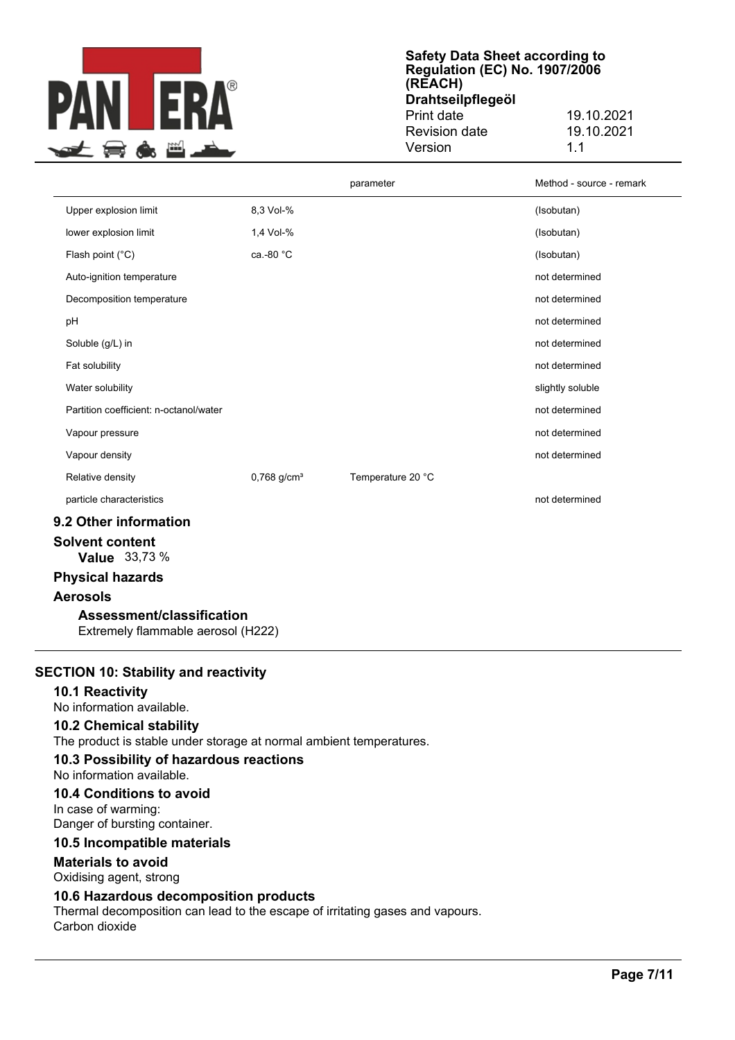

**Safety Data Sheet according to Regulation (EC) No. 1907/2006 (REACH) Drahtseilpflegeöl** Print date 19.10.2021

| Revision date | 19.10.2021 |
|---------------|------------|
| Version       | 11         |

|                                        |                           | parameter         | Method - source - remark |
|----------------------------------------|---------------------------|-------------------|--------------------------|
| Upper explosion limit                  | 8,3 Vol-%                 |                   | (Isobutan)               |
| lower explosion limit                  | 1,4 Vol-%                 |                   | (Isobutan)               |
| Flash point $(^{\circ}C)$              | ca.-80 °C                 |                   | (Isobutan)               |
| Auto-ignition temperature              |                           |                   | not determined           |
| Decomposition temperature              |                           |                   | not determined           |
| pH                                     |                           |                   | not determined           |
| Soluble (g/L) in                       |                           |                   | not determined           |
| Fat solubility                         |                           |                   | not determined           |
| Water solubility                       |                           |                   | slightly soluble         |
| Partition coefficient: n-octanol/water |                           |                   | not determined           |
| Vapour pressure                        |                           |                   | not determined           |
| Vapour density                         |                           |                   | not determined           |
| Relative density                       | $0,768$ g/cm <sup>3</sup> | Temperature 20 °C |                          |
| particle characteristics               |                           |                   | not determined           |
| 9.2 Other information                  |                           |                   |                          |
| Solvent content                        |                           |                   |                          |

**Value** 33,73 %

# **Physical hazards**

#### **Aerosols**

**Assessment/classification**

Extremely flammable aerosol (H222)

#### **SECTION 10: Stability and reactivity**

**10.1 Reactivity** No information available.

**10.2 Chemical stability** The product is stable under storage at normal ambient temperatures.

#### **10.3 Possibility of hazardous reactions**

#### No information available.

**10.4 Conditions to avoid**

In case of warming: Danger of bursting container.

#### **10.5 Incompatible materials**

#### **Materials to avoid**

Oxidising agent, strong

### **10.6 Hazardous decomposition products**

Thermal decomposition can lead to the escape of irritating gases and vapours. Carbon dioxide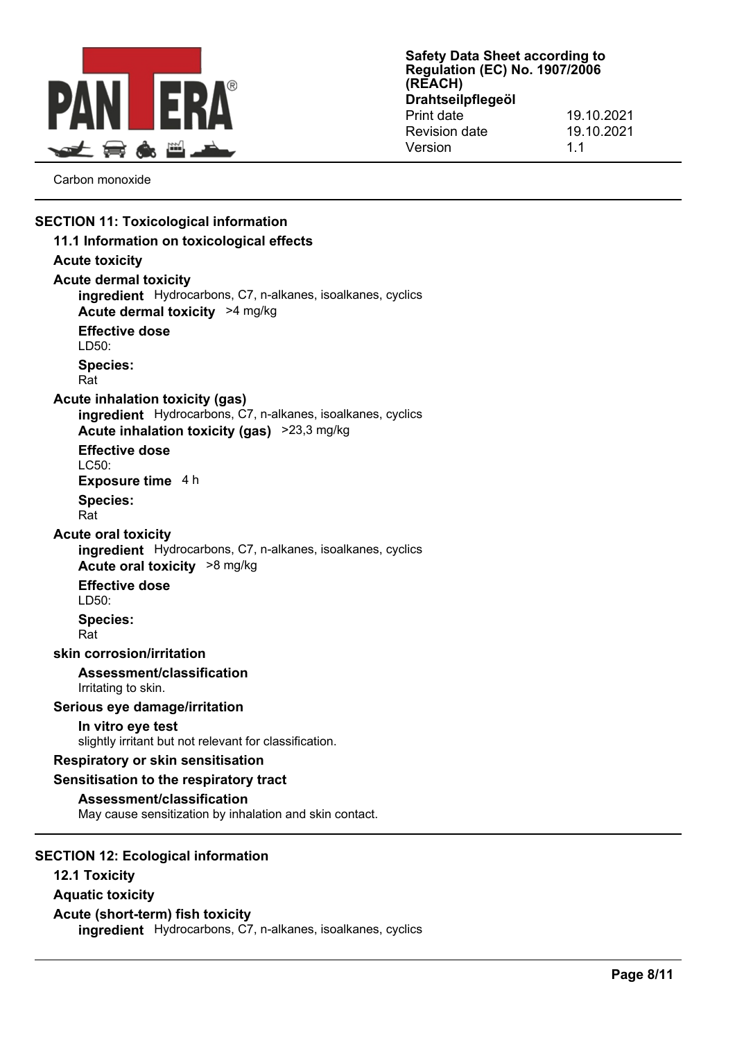

Carbon monoxide

# **SECTION 11: Toxicological information 11.1 Information on toxicological effects Acute toxicity Acute dermal toxicity ingredient** Hydrocarbons, C7, n-alkanes, isoalkanes, cyclics **Acute dermal toxicity** >4 mg/kg **Effective dose** LD50: **Species:** Rat **Acute inhalation toxicity (gas) ingredient** Hydrocarbons, C7, n-alkanes, isoalkanes, cyclics **Acute inhalation toxicity (gas)** >23,3 mg/kg **Effective dose** LC50: **Exposure time** 4 h **Species:** Rat **Acute oral toxicity ingredient** Hydrocarbons, C7, n-alkanes, isoalkanes, cyclics **Acute oral toxicity** >8 mg/kg **Effective dose** LD50: **Species:** Rat **skin corrosion/irritation Assessment/classification** Irritating to skin. **Serious eye damage/irritation In vitro eye test** slightly irritant but not relevant for classification. **Respiratory or skin sensitisation Sensitisation to the respiratory tract Assessment/classification** May cause sensitization by inhalation and skin contact. **SECTION 12: Ecological information 12.1 Toxicity**

**Aquatic toxicity Acute (short-term) fish toxicity ingredient** Hydrocarbons, C7, n-alkanes, isoalkanes, cyclics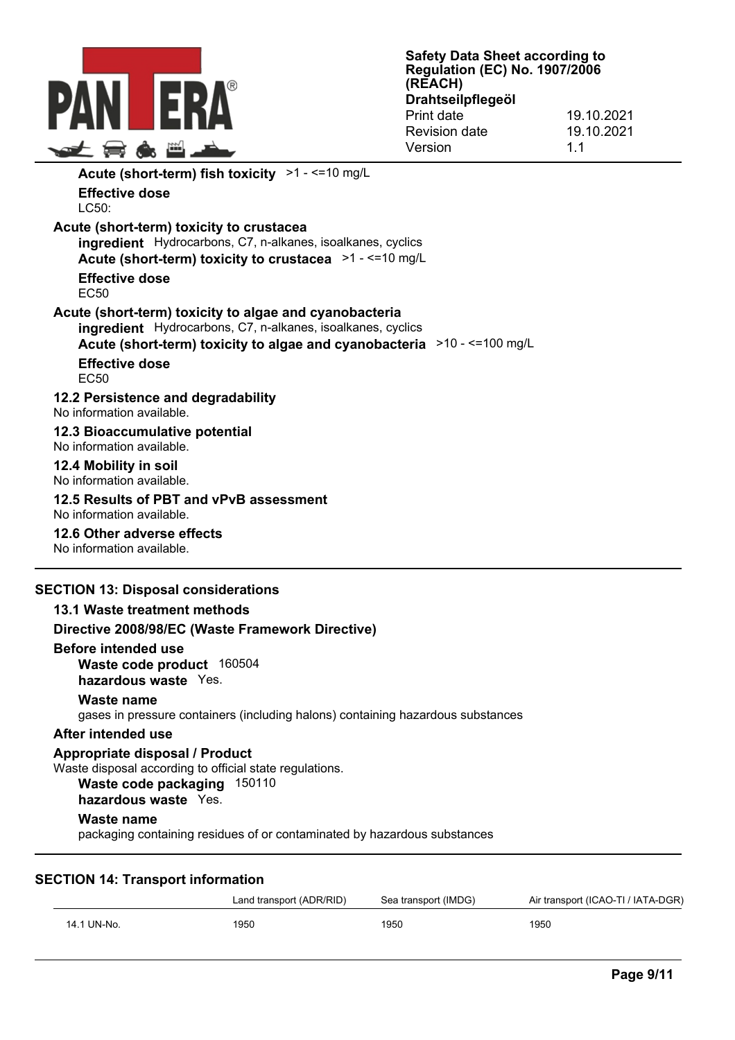

| Acute (short-term) fish toxicity >1 - <= 10 mg/L                                                                                                                                                 |  |
|--------------------------------------------------------------------------------------------------------------------------------------------------------------------------------------------------|--|
| <b>Effective dose</b><br>LC50:                                                                                                                                                                   |  |
| Acute (short-term) toxicity to crustacea<br>ingredient Hydrocarbons, C7, n-alkanes, isoalkanes, cyclics<br>Acute (short-term) toxicity to crustacea >1 - <=10 mg/L                               |  |
| Effective dose<br>EC <sub>50</sub>                                                                                                                                                               |  |
| Acute (short-term) toxicity to algae and cyanobacteria<br>ingredient Hydrocarbons, C7, n-alkanes, isoalkanes, cyclics<br>Acute (short-term) toxicity to algae and cyanobacteria >10 - <=100 mg/L |  |
| <b>Effective dose</b><br>EC <sub>50</sub>                                                                                                                                                        |  |
| 12.2 Persistence and degradability<br>No information available                                                                                                                                   |  |
| 12.3 Bioaccumulative potential<br>No information available.                                                                                                                                      |  |
| 12.4 Mobility in soil<br>No information available.                                                                                                                                               |  |
| 12.5 Results of PBT and vPvB assessment<br>No information available.                                                                                                                             |  |
| 12.6 Other adverse effects<br>No information available.                                                                                                                                          |  |

# **SECTION 13: Disposal considerations**

|                     | 13.1 Waste treatment methods                                                                                                                     |
|---------------------|--------------------------------------------------------------------------------------------------------------------------------------------------|
|                     | Directive 2008/98/EC (Waste Framework Directive)                                                                                                 |
| Before intended use | Waste code product 160504<br>hazardous waste Yes.                                                                                                |
| Waste name          | gases in pressure containers (including halons) containing hazardous substances                                                                  |
| After intended use  |                                                                                                                                                  |
|                     | Appropriate disposal / Product<br>Waste disposal according to official state regulations.<br>Waste code packaging 150110<br>hazardous waste Yes. |
| Waste name          | packaging containing residues of or contaminated by hazardous substances                                                                         |

# **SECTION 14: Transport information**

|             | Land transport (ADR/RID) | Sea transport (IMDG) | Air transport (ICAO-TI / IATA-DGR) |
|-------------|--------------------------|----------------------|------------------------------------|
| 14.1 UN-No. | 1950                     | 1950                 | 1950                               |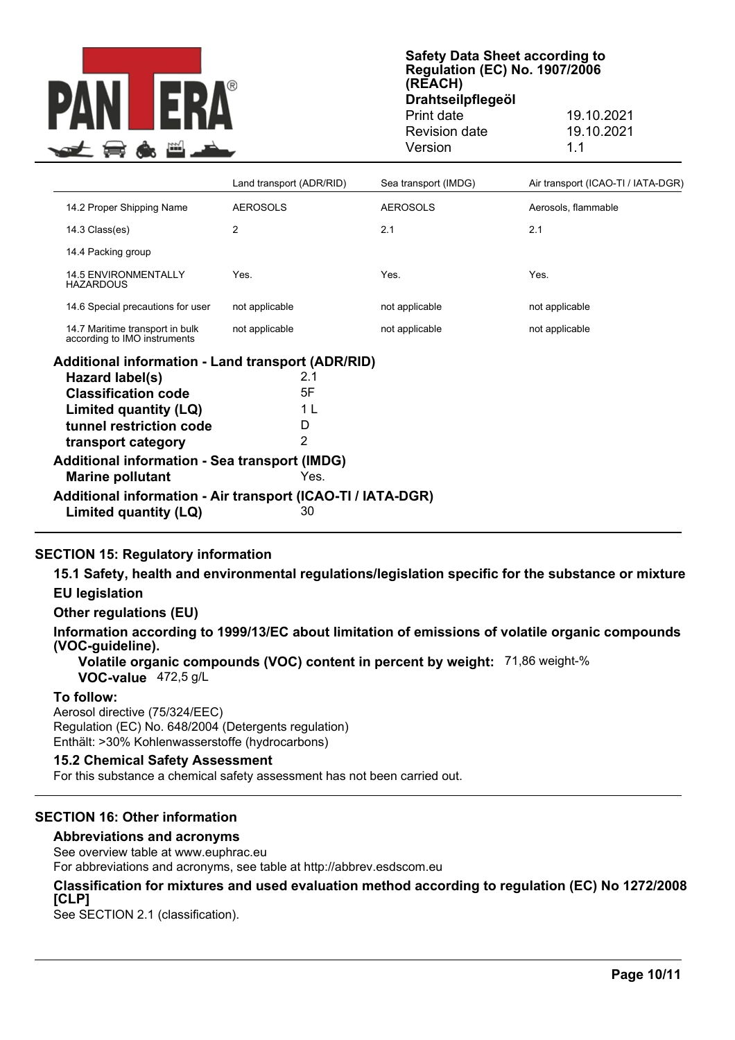

**Safety Data Sheet according to Regulation (EC) No. 1907/2006 (REACH) Drahtseilpflegeöl** Print date 19.10.2021

# Revision date 19.10.2021 Version 1.1

|                                                                 | Land transport (ADR/RID) | Sea transport (IMDG) | Air transport (ICAO-TI / IATA-DGR) |  |
|-----------------------------------------------------------------|--------------------------|----------------------|------------------------------------|--|
| 14.2 Proper Shipping Name                                       | <b>AEROSOLS</b>          | <b>AEROSOLS</b>      | Aerosols, flammable                |  |
| 14.3 Class(es)                                                  | 2                        | 2.1                  | 2.1                                |  |
| 14.4 Packing group                                              |                          |                      |                                    |  |
| <b>14.5 ENVIRONMENTALLY</b><br><b>HAZARDOUS</b>                 | Yes.                     | Yes.                 | Yes.                               |  |
| 14.6 Special precautions for user                               | not applicable           | not applicable       | not applicable                     |  |
| 14.7 Maritime transport in bulk<br>according to IMO instruments | not applicable           | not applicable       | not applicable                     |  |
| Additional information - Land transport (ADR/RID)               |                          |                      |                                    |  |
| Hazard label(s)                                                 | 2.1                      |                      |                                    |  |
| <b>Classification code</b>                                      | 5F                       |                      |                                    |  |
| Limited quantity (LQ)                                           | 1 L                      |                      |                                    |  |
| tunnel restriction code                                         | D                        |                      |                                    |  |
| transport category                                              | $\overline{2}$           |                      |                                    |  |
| Additional information - Sea transport (IMDG)                   |                          |                      |                                    |  |
| <b>Marine pollutant</b>                                         | Yes.                     |                      |                                    |  |
| Additional information - Air transport (ICAO-TI / IATA-DGR)     |                          |                      |                                    |  |
| Limited quantity (LQ)                                           | 30                       |                      |                                    |  |

# **SECTION 15: Regulatory information**

**15.1 Safety, health and environmental regulations/legislation specific for the substance or mixture EU legislation**

**Other regulations (EU)**

**Information according to 1999/13/EC about limitation of emissions of volatile organic compounds (VOC-guideline).**

**Volatile organic compounds (VOC) content in percent by weight:** 71,86 weight-% **VOC-value** 472,5 g/L

#### **To follow:**

Aerosol directive (75/324/EEC) Regulation (EC) No. 648/2004 (Detergents regulation) Enthält: >30% Kohlenwasserstoffe (hydrocarbons)

#### **15.2 Chemical Safety Assessment**

For this substance a chemical safety assessment has not been carried out.

# **SECTION 16: Other information**

#### **Abbreviations and acronyms**

See overview table at www.euphrac.eu

For abbreviations and acronyms, see table at http://abbrev.esdscom.eu

#### **Classification for mixtures and used evaluation method according to regulation (EC) No 1272/2008 [CLP]**

See SECTION 2.1 (classification).